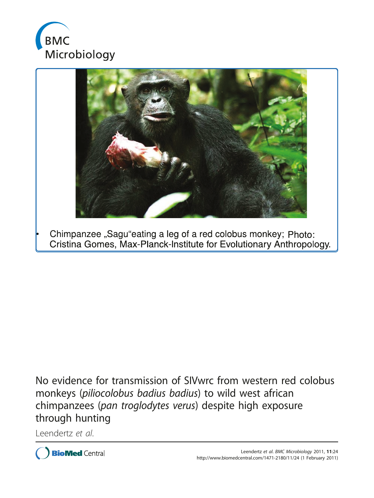



Cristina Gomes, Max-Planck-Institute for Evolutionary Anthropology.

No evidence for transmission of SIVwrc from western red colobus monkeys (piliocolobus badius badius) to wild west african chimpanzees (pan troglodytes verus) despite high exposure through hunting

Leendertz et al.

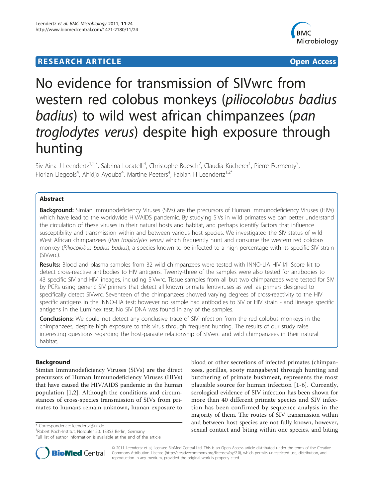## **RESEARCH ARTICLE External Structure Control Control Control Control Control Control Control Control Control Control Control Control Control Control Control Control Control Control Control Control Control Control Control**



# No evidence for transmission of SIVwrc from western red colobus monkeys (piliocolobus badius badius) to wild west african chimpanzees (pan troglodytes verus) despite high exposure through hunting

Siv Aina J Leendertz<sup>1,2,3</sup>, Sabrina Locatelli<sup>4</sup>, Christophe Boesch<sup>2</sup>, Claudia Kücherer<sup>1</sup>, Pierre Formenty<sup>5</sup> , Florian Liegeois<sup>4</sup>, Ahidjo Ayouba<sup>4</sup>, Martine Peeters<sup>4</sup>, Fabian H Leendertz<sup>1,2\*</sup>

## Abstract

**Background:** Simian Immunodeficiency Viruses (SIVs) are the precursors of Human Immunodeficiency Viruses (HIVs) which have lead to the worldwide HIV/AIDS pandemic. By studying SIVs in wild primates we can better understand the circulation of these viruses in their natural hosts and habitat, and perhaps identify factors that influence susceptibility and transmission within and between various host species. We investigated the SIV status of wild West African chimpanzees (Pan troglodytes verus) which frequently hunt and consume the western red colobus monkey (Piliocolobus badius badius), a species known to be infected to a high percentage with its specific SIV strain (SIVwrc).

Results: Blood and plasma samples from 32 wild chimpanzees were tested with INNO-LIA HIV I/II Score kit to detect cross-reactive antibodies to HIV antigens. Twenty-three of the samples were also tested for antibodies to 43 specific SIV and HIV lineages, including SIVwrc. Tissue samples from all but two chimpanzees were tested for SIV by PCRs using generic SIV primers that detect all known primate lentiviruses as well as primers designed to specifically detect SIVwrc. Seventeen of the chimpanzees showed varying degrees of cross-reactivity to the HIV specific antigens in the INNO-LIA test; however no sample had antibodies to SIV or HIV strain - and lineage specific antigens in the Luminex test. No SIV DNA was found in any of the samples.

**Conclusions:** We could not detect any conclusive trace of SIV infection from the red colobus monkeys in the chimpanzees, despite high exposure to this virus through frequent hunting. The results of our study raise interesting questions regarding the host-parasite relationship of SIVwrc and wild chimpanzees in their natural habitat.

## Background

Simian Immunodeficiency Viruses (SIVs) are the direct precursors of Human Immunodeficiency Viruses (HIVs) that have caused the HIV/AIDS pandemic in the human population [[1](#page-8-0),[2\]](#page-8-0). Although the conditions and circumstances of cross-species transmission of SIVs from primates to humans remain unknown, human exposure to

Full list of author information is available at the end of the article

blood or other secretions of infected primates (chimpanzees, gorillas, sooty mangabeys) through hunting and butchering of primate bushmeat, represents the most plausible source for human infection [[1-6\]](#page-8-0). Currently, serological evidence of SIV infection has been shown for more than 40 different primate species and SIV infection has been confirmed by sequence analysis in the majority of them. The routes of SIV transmission within and between host species are not fully known, however, sexual correspondence: [leendertzf@rki.de](mailto:leendertzf@rki.de)<br>
<sup>1</sup>Robert Koch-Institut Nordufer 20, 13353 Berlin Germany<br> **Sexual contact and biting within one species, and biting** 



© 2011 Leendertz et al; licensee BioMed Central Ltd. This is an Open Access article distributed under the terms of the Creative Commons Attribution License [\(http://creativecommons.org/licenses/by/2.0](http://creativecommons.org/licenses/by/2.0)), which permits unrestricted use, distribution, and reproduction in any medium, provided the original work is properly cited.

<sup>&</sup>lt;sup>1</sup> Robert Koch-Institut, Nordufer 20, 13353 Berlin, Germany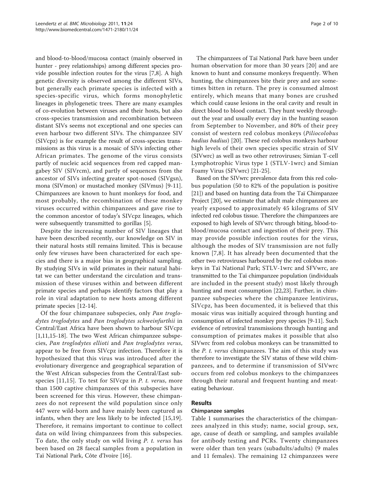and blood-to-blood/mucosa contact (mainly observed in hunter - prey relationships) among different species provide possible infection routes for the virus [[7,8](#page-9-0)]. A high genetic diversity is observed among the different SIVs, but generally each primate species is infected with a species-specific virus, which forms monophyletic lineages in phylogenetic trees. There are many examples of co-evolution between viruses and their hosts, but also cross-species transmission and recombination between distant SIVs seems not exceptional and one species can even harbour two different SIVs. The chimpanzee SIV (SIVcpz) is for example the result of cross-species transmissions as this virus is a mosaic of SIVs infecting other African primates. The genome of the virus consists partly of nucleic acid sequences from red capped mangabey SIV (SIVrcm), and partly of sequences from the ancestor of SIVs infecting greater spot-nosed (SIVgsn), mona (SIVmon) or mustached monkey (SIVmus) [[9-11](#page-9-0)]. Chimpanzees are known to hunt monkeys for food, and most probably, the recombination of these monkey viruses occurred within chimpanzees and gave rise to the common ancestor of today's SIVcpz lineages, which were subsequently transmitted to gorillas [\[5](#page-8-0)].

Despite the increasing number of SIV lineages that have been described recently, our knowledge on SIV in their natural hosts still remains limited. This is because only few viruses have been characterized for each species and there is a major bias in geographical sampling. By studying SIVs in wild primates in their natural habitat we can better understand the circulation and transmission of these viruses within and between different primate species and perhaps identify factors that play a role in viral adaptation to new hosts among different primate species [\[12-14](#page-9-0)].

Of the four chimpanzee subspecies, only Pan troglodytes troglodytes and Pan troglodytes schweinfurthii in Central/East Africa have been shown to harbour SIVcpz [[1,](#page-8-0)[11,15-18](#page-9-0)]. The two West African chimpanzee subspecies, Pan troglodytes ellioti and Pan troglodytes verus, appear to be free from SIVcpz infection. Therefore it is hypothesized that this virus was introduced after the evolutionary divergence and geographical separation of the West African subspecies from the Central/East subspecies [\[11](#page-9-0),[15\]](#page-9-0). To test for SIVcpz in P. t. verus, more than 1500 captive chimpanzees of this subspecies have been screened for this virus. However, these chimpanzees do not represent the wild population since only 447 were wild-born and have mainly been captured as infants, when they are less likely to be infected [[15,19](#page-9-0)]. Therefore, it remains important to continue to collect data on wild living chimpanzees from this subspecies. To date, the only study on wild living P. t. verus has been based on 28 faecal samples from a population in Taï National Park, Côte d'Ivoire [[16](#page-9-0)].

The chimpanzees of Taï National Park have been under human observation for more than 30 years [[20](#page-9-0)] and are known to hunt and consume monkeys frequently. When hunting, the chimpanzees bite their prey and are sometimes bitten in return. The prey is consumed almost entirely, which means that many bones are crushed which could cause lesions in the oral cavity and result in direct blood to blood contact. They hunt weekly throughout the year and usually every day in the hunting season from September to November, and 80% of their prey consist of western red colobus monkeys (Piliocolobus badius badius) [\[20](#page-9-0)]. These red colobus monkeys harbour high levels of their own species specific strain of SIV (SIVwrc) as well as two other retroviruses; Simian T-cell Lymphotrophic Virus type 1 (STLV-1wrc) and Simian Foamy Virus (SFVwrc) [\[21-25](#page-9-0)].

Based on the SIVwrc prevalence data from this red colobus population (50 to 82% of the population is positive [[21](#page-9-0)]) and based on hunting data from the Taї Chimpanzee Project [\[20\]](#page-9-0), we estimate that adult male chimpanzees are yearly exposed to approximately 45 kilograms of SIV infected red colobus tissue. Therefore the chimpanzees are exposed to high levels of SIVwrc through biting, blood-toblood/mucosa contact and ingestion of their prey. This may provide possible infection routes for the virus, although the modes of SIV transmission are not fully known [\[7,8](#page-9-0)]. It has already been documented that the other two retroviruses harboured by the red colobus monkeys in Taї National Park; STLV-1wrc and SFVwrc, are transmitted to the Taї chimpanzee population (individuals are included in the present study) most likely through hunting and meat consumption [[22,23\]](#page-9-0). Further, in chimpanzee subspecies where the chimpanzee lentivirus, SIVcpz, has been documented, it is believed that this mosaic virus was initially acquired through hunting and consumption of infected monkey prey species [\[9-11\]](#page-9-0). Such evidence of retroviral transmissions through hunting and consumption of primates makes it possible that also SIVwrc from red colobus monkeys can be transmitted to the P. t. verus chimpanzees. The aim of this study was therefore to investigate the SIV status of these wild chimpanzees, and to determine if transmission of SIVwrc occurs from red colobus monkeys to the chimpanzees through their natural and frequent hunting and meateating behaviour.

## Results

#### Chimpanzee samples

Table [1](#page-3-0) summarises the characteristics of the chimpanzees analyzed in this study; name, social group, sex, age, cause of death or sampling, and samples available for antibody testing and PCRs. Twenty chimpanzees were older than ten years (subadults/adults) (9 males and 11 females). The remaining 12 chimpanzees were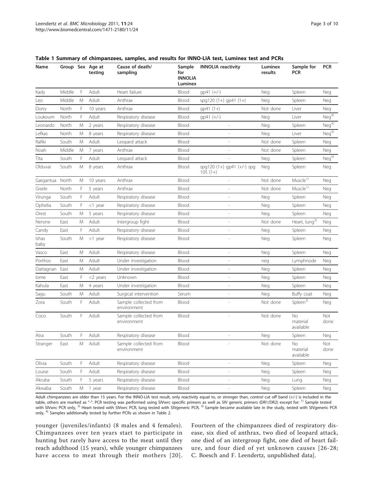| Name          |        |   | Group Sex Age at<br>testing | Cause of death/<br>sampling          | Sample<br>for<br><b>INNOLIA</b><br>Luminex | <b>INNOLIA</b> reactivity               | Luminex<br>results | Sample for<br>PCR           | <b>PCR</b>        |
|---------------|--------|---|-----------------------------|--------------------------------------|--------------------------------------------|-----------------------------------------|--------------------|-----------------------------|-------------------|
| Kady          | Middle | F | Adult                       | Heart failure                        | Blood                                      | qp41 (+/-)                              | Neg                | Spleen                      | Neg               |
| Leo           | Middle | M | Adult                       | Anthrax                              | Blood                                      | $spq120(1+)$ gp41 $(1+)$                | Neg                | Spleen                      | Neg               |
| Dorry         | North  | F | 10 years                    | Anthrax                              | Blood                                      | $qp41(1+)$                              | Not done           | Liver                       | Neg               |
| Loukoum       | North  | F | Adult                       | Respiratory disease                  | Blood                                      | $qp41 (+/-)$                            | Neg                | Liver                       | Neg <sup>4</sup>  |
| Leonardo      | North  | M | 2 years                     | Respiratory disease                  | Blood                                      |                                         | Neg                | Spleen                      | Neg <sup>4)</sup> |
| Lefkas        | North  | M | 8 years                     | Respiratory disease                  | Blood                                      |                                         | Neg                | Liver                       | $Neg^{4)}$        |
| Rafiki        | South  | M | Adult                       | Leopard attack                       | Blood                                      | L,                                      | Not done           | Spleen                      | Neg               |
| Noah          | Middle | M | 7 years                     | Anthrax                              | Blood                                      |                                         | Not done           | Spleen                      | Neg               |
| Tita          | South  | F | Adult                       | Leopard attack                       | Blood                                      |                                         | Neg                | Spleen                      | Neg <sup>4</sup>  |
| Olduvai       | South  | M | 8 years                     | Anthrax                              | Blood                                      | spg120 (1+) gp41 (+/-) spg<br>$105(1+)$ | Neg                | Spleen                      | Neg               |
| Gargantua     | North  | M | 10 years                    | Anthrax                              | Blood                                      |                                         | Not done           | Muscle <sup>1)</sup>        | Neg               |
| Gisele        | North  | F | 5 years                     | Anthrax                              | Blood                                      |                                         | Not done           | Muscle <sup>1)</sup>        | Neg               |
| Virunga       | South  | F | Adult                       | Respiratory disease                  | Blood                                      |                                         | Neg                | Spleen                      | Neg               |
| Ophelia       | South  | F | <1 year                     | Respiratory disease                  | Blood                                      | $\overline{a}$                          | Neg                | Spleen                      | Neg               |
| Orest         | South  | M | 5 years                     | Respiratory disease                  | Blood                                      | i.                                      | Neg                | Spleen                      | Neg               |
| Nerone        | East   | M | Adult                       | Intergroup fight                     | Blood                                      |                                         | Not done           | Heart, lung <sup>2)</sup>   | Neg               |
| Candy         | East   | F | Adult                       | Respiratory disease                  | Blood                                      |                                         | Neg                | Spleen                      | Neg               |
| Ishas<br>baby | South  | M | <1 year                     | Respiratory disease                  | Blood                                      |                                         | Neg                | Spleen                      | Neg               |
| Vasco         | East   | M | Adult                       | Respiratory disease                  | Blood                                      |                                         | Neg                | Spleen                      | Neg               |
| Porthos       | East   | M | Adult                       | Under investigation                  | Blood                                      |                                         | neg                | Lymphnode                   | Neg               |
| Dartagnan     | East   | M | Adult                       | Under investigation                  | Blood                                      |                                         | Neg                | Spleen                      | Neg               |
| lome          | East   | F | <2 years                    | Unknown                              | Blood                                      | i.                                      | Neg                | Spleen                      | Neg               |
| Kahula        | East   | M | 4 years                     | Under investigation                  | Blood                                      | L,                                      | Neg                | Spleen                      | Neg               |
| Sagu          | South  | M | Adult                       | Surgical intervention                | Serum                                      |                                         | Neg                | Buffy coat                  | Neg               |
| Zora          | South  | F | Adult                       | Sample collected from<br>environment | Blood                                      |                                         | Not done           | Spleen <sup>3)</sup>        | Neg               |
| Coco          | South  | F | Adult                       | Sample collected from<br>environment | Blood                                      |                                         | Not done           | No<br>material<br>available | Not<br>done       |
| Atra          | South  | F | Adult                       | Respiratory disease                  | Blood                                      | $\frac{1}{2}$                           | Neg                | Spleen                      | Neg               |
| Stranger      | East   | M | Adult                       | Sample collected from<br>environment | Blood                                      |                                         | Not done           | No<br>material<br>available | Not<br>done       |
| Olivia        | South  | F | Adult                       | Respiratory disease                  | Blood                                      | L,                                      | Neg                | Spleen                      | Neg               |
| Louise        | South  | F | Adult                       | Respiratory disease                  | Blood                                      |                                         | Neg                | Spleen                      | Neg               |
| Akruba        | South  | F | 5 years                     | Respiratory disease                  | Blood                                      | $\overline{\phantom{0}}$                | Neg                | Lung                        | Neg               |
| Akwaba        | South  | M | 1 year                      | Respiratory disease                  | Blood                                      | $\overline{\phantom{a}}$                | Neg                | Spleen                      | Neg               |

## <span id="page-3-0"></span>Table 1 Summary of chimpanzees, samples, and results for INNO-LIA test, Luminex test and PCRs

Adult chimpanzees are older than 15 years. For the INNO-LIA test result, only reactivity equal to, or stronger than, control cut off band (+/-) is included in the table, others are marked as "-". PCR testing was performed using SIVwrc specific primers as well as SIV generic primers (DR1/DR2) except for: <sup>1)</sup> Sample tested with SIVwrc PCR only, <sup>2)</sup> Heart tested with SIVwrc PCR, lung tested with SIVgeneric PCR, <sup>3)</sup> Sample became available late in the study, tested with SIVgeneric PCR only, <sup>4)</sup> Samples additionally tested by further PCRs as shown in Table 2.

younger (juveniles/infants) (8 males and 4 females). Chimpanzees over ten years start to participate in hunting but rarely have access to the meat until they reach adulthood (15 years), while younger chimpanzees have access to meat through their mothers [[20\]](#page-9-0). Fourteen of the chimpanzees died of respiratory disease, six died of anthrax, two died of leopard attack, one died of an intergroup fight, one died of heart failure, and four died of yet unknown causes [26-28; C. Boesch and F. Leendertz, unpublished data].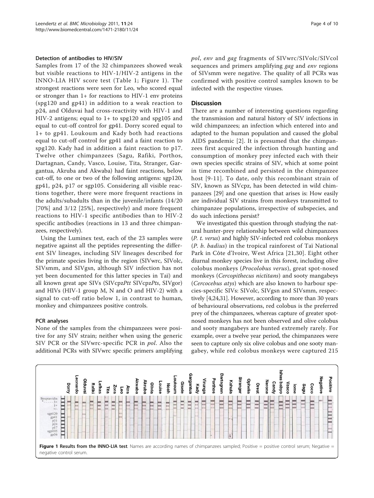#### Detection of antibodies to HIV/SIV

Samples from 17 of the 32 chimpanzees showed weak but visible reactions to HIV-1/HIV-2 antigens in the INNO-LIA HIV score test (Table [1;](#page-3-0) Figure 1). The strongest reactions were seen for Leo, who scored equal or stronger than 1+ for reactions to HIV-1 env proteins (spg120 and gp41) in addition to a weak reaction to p24, and Olduvai had cross-reactivity with HIV-1 and HIV-2 antigens; equal to 1+ to spg120 and spg105 and equal to cut-off control for gp41. Dorry scored equal to 1+ to gp41. Loukoum and Kady both had reactions equal to cut-off control for gp41 and a faint reaction to spg120. Kady had in addition a faint reaction to p17. Twelve other chimpanzees (Sagu, Rafiki, Porthos, Dartagnan, Candy, Vasco, Louise, Tita, Stranger, Gargantua, Akruba and Akwaba) had faint reactions, below cut-off, to one or two of the following antigens: sgp120, gp41, p24, p17 or sgp105. Considering all visible reactions together, there were more frequent reactions in the adults/subadults than in the juvenile/infants (14/20 [70%] and 3/12 [25%], respectively) and more frequent reactions to HIV-1 specific antibodies than to HIV-2 specific antibodies (reactions in 13 and three chimpanzees, respectively).

Using the Luminex test, each of the 23 samples were negative against all the peptides representing the different SIV lineages, including SIV lineages described for the primate species living in the region (SIVwrc, SIVolc, SIVsmm, and SIVgsn, although SIV infection has not yet been documented for this latter species in Taï) and all known great ape SIVs (SIVcpzPtt SIVcpzPts, SIVgor) and HIVs (HIV-1 group M, N and O and HIV-2) with a signal to cut-off ratio below 1, in contrast to human, monkey and chimpanzees positive controls.

#### PCR analyses

None of the samples from the chimpanzees were positive for any SIV strain; neither when using the generic SIV PCR or the SIVwrc-specific PCR in pol. Also the additional PCRs with SIVwrc specific primers amplifying pol, env and gag fragments of SIVwrc/SIVolc/SIVcol sequences and primers amplifying gag and env regions of SIVsmm were negative. The quality of all PCRs was confirmed with positive control samples known to be infected with the respective viruses.

## **Discussion**

There are a number of interesting questions regarding the transmission and natural history of SIV infections in wild chimpanzees; an infection which entered into and adapted to the human population and caused the global AIDS pandemic [[2](#page-8-0)]. It is presumed that the chimpanzees first acquired the infection through hunting and consumption of monkey prey infected each with their own species specific strains of SIV, which at some point in time recombined and persisted in the chimpanzee host [[9-11](#page-9-0)]. To date, only this recombinant strain of SIV, known as SIVcpz, has been detected in wild chimpanzees [[29](#page-9-0)] and one question that arises is: How easily are individual SIV strains from monkeys transmitted to chimpanzee populations, irrespective of subspecies, and do such infections persist?

We investigated this question through studying the natural hunter-prey relationship between wild chimpanzees (P. t. verus) and highly SIV-infected red colobus monkeys (P. b. badius) in the tropical rainforest of Taï National Park in Côte d'Ivoire, West Africa [\[21,30](#page-9-0)]. Eight other diurnal monkey species live in this forest, including olive colobus monkeys (Procolobus verus), great spot-nosed monkeys (Cercopithecus nictitans) and sooty mangabeys (Cercocebus atys) which are also known to harbour species-specific SIVs: SIVolc, SIVgsn and SIVsmm, respectively [[4](#page-8-0),[24,31\]](#page-9-0). However, according to more than 30 years of behavioural observations, red colobus is the preferred prey of the chimpanzees, whereas capture of greater spotnosed monkeys has not been observed and olive colobus and sooty mangabeys are hunted extremely rarely. For example, over a twelve year period, the chimpanzees were seen to capture only six olive colobus and one sooty mangabey, while red colobus monkeys were captured 215

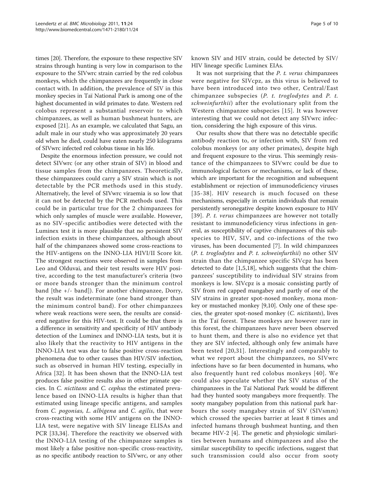times [\[20\]](#page-9-0). Therefore, the exposure to these respective SIV strains through hunting is very low in comparison to the exposure to the SIVwrc strain carried by the red colobus monkeys, which the chimpanzees are frequently in close contact with. In addition, the prevalence of SIV in this monkey species in Taï National Park is among one of the highest documented in wild primates to date. Western red colobus represent a substantial reservoir to which chimpanzees, as well as human bushmeat hunters, are exposed [[21\]](#page-9-0). As an example, we calculated that Sagu, an adult male in our study who was approximately 20 years old when he died, could have eaten nearly 250 kilograms of SIVwrc infected red colobus tissue in his life.

Despite the enormous infection pressure, we could not detect SIVwrc (or any other strain of SIV) in blood and tissue samples from the chimpanzees. Theoretically, these chimpanzees could carry a SIV strain which is not detectable by the PCR methods used in this study. Alternatively, the level of SIVwrc viraemia is so low that it can not be detected by the PCR methods used. This could be in particular true for the 2 chimpanzees for which only samples of muscle were available. However, as no SIV-specific antibodies were detected with the Luminex test it is more plausible that no persistent SIV infection exists in these chimpanzees, although about half of the chimpanzees showed some cross-reactions to the HIV-antigens on the INNO-LIA HIVI/II Score kit. The strongest reactions were observed in samples from Leo and Olduvai, and their test results were HIV positive, according to the test manufacturer's criteria (two or more bands stronger than the minimum control band [the +/- band]). For another chimpanzee, Dorry, the result was indeterminate (one band stronger than the minimum control band). For other chimpanzees where weak reactions were seen, the results are considered negative for this HIV-test. It could be that there is a difference in sensitivity and specificity of HIV antibody detection of the Luminex and INNO-LIA tests, but it is also likely that the reactivity to HIV antigens in the INNO-LIA test was due to false positive cross-reaction phenomena due to other causes than HIV/SIV infection, such as observed in human HIV testing, especially in Africa [[32](#page-9-0)]. It has been shown that the INNO-LIA test produces false positive results also in other primate species. In C. nictitans and C. cephus the estimated prevalence based on INNO-LIA results is higher than that estimated using lineage specific antigens, and samples from C. pogonias, L. albigena and C. agilis, that were cross-reacting with some HIV antigens on the INNO-LIA test, were negative with SIV lineage ELISAs and PCR [[33,34](#page-9-0)]. Therefore the reactivity we observed with the INNO-LIA testing of the chimpanzee samples is most likely a false positive non-specific cross-reactivity, as no specific antibody reaction to SIVwrc, or any other known SIV and HIV strain, could be detected by SIV/ HIV lineage specific Luminex EIAs.

It was not surprising that the P. t. verus chimpanzees were negative for SIVcpz, as this virus is believed to have been introduced into two other, Central/East chimpanzee subspecies  $(P. t. troglodytes$  and  $P. t.$ schweinfurthii) after the evolutionary split from the Western chimpanzee subspecies [[15\]](#page-9-0). It was however interesting that we could not detect any SIVwrc infection, considering the high exposure of this virus.

Our results show that there was no detectable specific antibody reaction to, or infection with, SIV from red colobus monkeys (or any other primates), despite high and frequent exposure to the virus. This seemingly resistance of the chimpanzees to SIVwrc could be due to immunological factors or mechanisms, or lack of these, which are important for the recognition and subsequent establishment or rejection of immunodeficiency viruses [[35](#page-9-0)-[38\]](#page-9-0). HIV research is much focused on these mechanisms, especially in certain individuals that remain persistently seronegative despite known exposure to HIV [[39\]](#page-9-0). P. t. verus chimpanzees are however not totally resistant to immunodeficiency virus infections in general, as susceptibility of captive chimpanzees of this subspecies to HIV, SIV, and co-infections of the two viruses, has been documented [[7](#page-9-0)]. In wild chimpanzees (P. t. troglodytes and P. t. schweinfurthii) no other SIV strain than the chimpanzee specific SIVcpz has been detected to date [[1,5](#page-8-0)[,18](#page-9-0)], which suggests that the chimpanzees' susceptibility to individual SIV strains from monkeys is low. SIVcpz is a mosaic consisting partly of SIV from red capped mangabey and partly of one of the SIV strains in greater spot-nosed monkey, mona monkey or mustached monkey [[9](#page-9-0),[10](#page-9-0)]. Only one of these species, the greater spot-nosed monkey (C. nictitants), lives in the Taï forest. These monkeys are however rare in this forest, the chimpanzees have never been observed to hunt them, and there is also no evidence yet that they are SIV infected, although only few animals have been tested [[20](#page-9-0),[31](#page-9-0)]. Interestingly and comparably to what we report about the chimpanzees, no SIVwrc infections have so far been documented in humans, who also frequently hunt red colobus monkeys [[40\]](#page-9-0). We could also speculate whether the SIV status of the chimpanzees in the Taï National Park would be different had they hunted sooty mangabeys more frequently. The sooty mangabey population from this national park harbours the sooty mangabey strain of SIV (SIVsmm) which crossed the species barrier at least 8 times and infected humans through bushmeat hunting, and then became HIV-2 [[4](#page-8-0)]. The genetic and physiologic similarities between humans and chimpanzees and also the similar susceptibility to specific infections, suggest that such transmission could also occur from sooty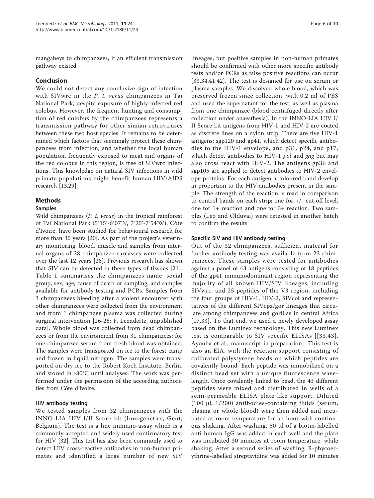mangabeys to chimpanzees, if an efficient transmission pathway existed.

#### Conclusion

We could not detect any conclusive sign of infection with SIVwrc in the P. t. verus chimpanzees in Taï National Park, despite exposure of highly infected red colobus. However, the frequent hunting and consumption of red colobus by the chimpanzees represents a transmission pathway for other simian retroviruses between these two host species. It remains to be determined which factors that seemingly protect these chimpanzees from infection, and whether the local human population, frequently exposed to meat and organs of the red colobus in this region, is free of SIVwrc infections. This knowledge on natural SIV infections in wild primate populations might benefit human HIV/AIDS research [[13,29\]](#page-9-0).

## Methods

#### Samples

Wild chimpanzees (*P. t. verus*) in the tropical rainforest of Taï National Park (5°15'-6°07'N, 7°25'-7°54'W), Côte d'Ivoire, have been studied for behavioural research for more than 30 years [[20](#page-9-0)]. As part of the project's veterinary monitoring, blood, muscle and samples from internal organs of 28 chimpanzee carcasses were collected over the last 12 years [\[26](#page-9-0)]. Previous research has shown that SIV can be detected in these types of tissues [[21\]](#page-9-0). Table [1](#page-3-0) summarises the chimpanzees name, social group, sex, age, cause of death or sampling, and samples available for antibody testing and PCRs. Samples from 3 chimpanzees bleeding after a violent encounter with other chimpanzees were collected from the environment and from 1 chimpanzee plasma was collected during surgical intervention [26-28; F. Leendertz, unpublished data]. Whole blood was collected from dead chimpanzees or from the environment from 31 chimpanzees; for one chimpanzee serum from fresh blood was obtained. The samples were transported on ice to the forest camp and frozen in liquid nitrogen. The samples were transported on dry ice to the Robert Koch Institute, Berlin, and stored in -80°C until analyses. The work was performed under the permission of the according authorities from Côte d'Ivoire.

## HIV antibody testing

We tested samples from 32 chimpanzees with the INNO-LIA HIV I/II Score kit (Innogenetics, Gent, Belgium). The test is a line immuno-assay which is a commonly accepted and widely used confirmatory test for HIV [[32\]](#page-9-0). This test has also been commonly used to detect HIV cross-reactive antibodies in non-human primates and identified a large number of new SIV lineages, but positive samples in non-human primates should be confirmed with other more specific antibody tests and/or PCRs as false positive reactions can occur [[33,34](#page-9-0),[41,42](#page-9-0)]. The test is designed for use on serum or plasma samples. We dissolved whole blood, which was preserved frozen since collection, with 0.2 ml of PBS and used the supernatant for the test, as well as plasma from one chimpanzee (blood centrifuged directly after collection under anaesthesia). In the INNO-LIA HIV I/ II Score kit antigens from HIV-1 and HIV-2 are coated as discrete lines on a nylon strip. There are five HIV-1 antigens: sgp120 and gp41, which detect specific antibodies to the HIV-1 envelope, and p31, p24, and p17, which detect antibodies to HIV-1 pol and gag but may also cross react with HIV-2. The antigens gp36 and sgp105 are applied to detect antibodies to HIV-2 envelope proteins. For each antigen a coloured band develop in proportion to the HIV-antibodies present in the sample. The strength of the reaction is read in comparison to control bands on each strip; one for +/- cut off level, one for 1+ reaction and one for 3+ reaction. Two samples (Leo and Olduvai) were retested in another batch to confirm the results.

## Specific SIV and HIV antibody testing

Out of the 32 chimpanzees, sufficient material for further antibody testing was available from 23 chimpanzees. These samples were tested for antibodies against a panel of 43 antigens consisting of 18 peptides of the gp41 immunodominant region representing the majority of all known HIV/SIV lineages, including SIVwrc, and 25 peptides of the V3 region, including the four groups of HIV-1, HIV-2, SIVcol and representatives of the different SIVcpz/gor lineages that circulate among chimpanzees and gorillas in central Africa [[17](#page-9-0),[33\]](#page-9-0). To that end, we used a newly developed assay based on the Luminex technology. This new Luminex test is comparable to SIV specific ELISAs [[[33](#page-9-0),[43\]](#page-9-0), Ayouba et al., manuscript in preparation]. This test is also an EIA, with the reaction support consisting of calibrated polystyrene beads on which peptides are covalently bound. Each peptide was immobilized on a distinct bead set with a unique fluorescence wavelength. Once covalently linked to bead, the 43 different peptides were mixed and distributed in wells of a semi-permeable ELISA plate like support. Diluted (100 μl, 1/200) antibodies-containing fluids (serum, plasma or whole blood) were then added and incubated at room temperature for an hour with continuous shaking. After washing, 50 μl of a biotin-labelled anti-human IgG was added in each well and the plate was incubated 30 minutes at room temperature, while shaking. After a second series of washing, R-phycoerythrine-labelled streptavidine was added for 10 minutes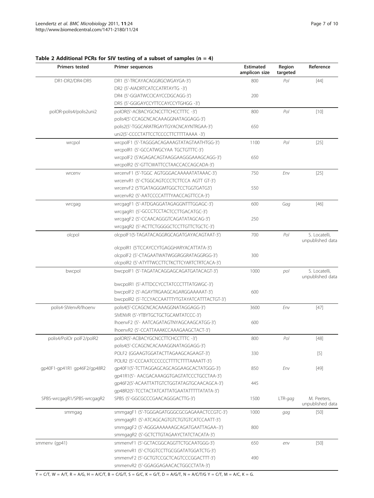| <b>Primers tested</b>       | <b>Primer sequences</b>                         | <b>Estimated</b><br>amplicon size | Region<br>targeted | Reference        |
|-----------------------------|-------------------------------------------------|-----------------------------------|--------------------|------------------|
| DR1-DR2/DR4-DR5             | DR1 (5'-TRCAYACAGGRGCWGAYGA-3')                 | 800                               | Pol                | $[44]$           |
|                             | DR2 (5'-AIADRTCATCCATRTAYTG -3')                |                                   |                    |                  |
|                             | DR4 (5'-GGIATWCCICAYCCDGCAGG-3')                | 200                               |                    |                  |
|                             | DR5 (5'-GGIGAYCCYTTCCAYCCYTGHGG -3')            |                                   |                    |                  |
| polOR-polis4/polis2uni2     | polOR(5'-ACBACYGCNCCTTCHCCTTTC-3')              | 800                               | Pol                | $[10]$           |
|                             | polis4(5'-CCAGCNCACAAAGGNATAGGAGG-3')           |                                   |                    |                  |
|                             | polis2(5'-TGGCARATRGAYTGYACNCAYNTRGAA-3')       | 650                               |                    |                  |
|                             | uni2(5'-CCCCTATTCCTCCCCTTCTTTTAAAA -3')         |                                   |                    |                  |
| wrcpol                      | wrcpolF1 (5'-TAGGGACAGAAAGTATAGTAATHTGG-3')     | 1100                              | Pol                | $[25]$           |
|                             | wrcpolR1 (5'-GCCATWGCYAA TGCTGTTTC-3')          |                                   |                    |                  |
|                             | wrcpolF2 (5'AGAGACAGTAAGGAAGGGAAAGCAGG-3')      | 650                               |                    |                  |
|                             | wrcpolR2 (5'-GTTCWATTCCTAACCACCAGCADA-3')       |                                   |                    |                  |
| wrcenv                      | wrcenvF1 (5'-TGGC AGTGGGACAAAAATATAAAC-3')      | 750                               | Env                | $[25]$           |
|                             | wrcenvR1 (5'-CTGGCAGTCCCTCTTCCA AGTT GT-3')     |                                   |                    |                  |
|                             | wrcenvF2 (5'TGATAGGGMTGGCTCCTGGTGATG3')         | 550                               |                    |                  |
|                             | wrcenvR2 (5'-AATCCCCATTTYAACCAGTTCCA-3')        |                                   |                    |                  |
| wrcgag                      | wrcgagF1 (5'-ATDGAGGATAGAGGNTTTGGAGC-3')        | 600                               | Gag                | $[46]$           |
|                             | wrcgagR1 (5'-GCCCTCCTACTCCTTGACATGC-3')         |                                   |                    |                  |
|                             | wrcgagF2 (5'-CCAACAGGGTCAGATATAGCAG-3')         | 250                               |                    |                  |
|                             | wrcgagR2 (5'-ACTTCTGGGGCTCCTTGTTCTGCTC-3')      |                                   |                    |                  |
| olcpol                      | olcpolF1(5-TAGATACAGGRGCAGATGAYACAGTAAT-3')     | 700                               | Pol                | S. Locatelli,    |
|                             |                                                 |                                   |                    | unpublished data |
|                             | olcpolR1 (5TCCAYCCYTGAGGHARYACATTATA-3')        |                                   |                    |                  |
|                             | olcpolF2 (5'-CTAGAATWATWGGRGGRATAGGRGG-3')      | 300                               |                    |                  |
|                             | olcpolR2 (5'-ATYTTWCCTTCTKCTTCYARTCTRTCACA-3')  |                                   |                    |                  |
| bwcpol                      | bwcpolF1 (5'-TAGATACAGGAGCAGATGATACAGT-3')      | 1000                              | pol                | S. Locatelli,    |
|                             |                                                 |                                   |                    | unpublished data |
|                             | bwcpolR1 (5'-ATTDCCYCCTATCCCTTTATGWGC-3')       |                                   |                    |                  |
|                             | bwcpolF2 (5'-AGAYTRGAAGCAGARGGAAAAAT-3')        | 600                               |                    |                  |
|                             | bwcpolR2 (5'-TCCYACCAATTTYTGTAYATCATTTACTGT-3') |                                   |                    |                  |
| polis4-SIVenvR/Ihoenv       | polis4(5'-CCAGCNCACAAAGGNATAGGAGG-3')           | 3600                              | Env                | $[47]$           |
|                             | SIVENVR (5'-YTBYTGCTGCTGCAMTATCCC-3')           |                                   |                    |                  |
|                             | IhoenvF2 (5'- AATCAGATAGTNYAGCAAGCATGG-3')      | 600                               |                    |                  |
|                             | IhoenvR2 (5'-CCATTAAAKCCAAAGAAGCTACT-3')        |                                   |                    |                  |
| polis4/PolOr polF2/polR2    | polOR(5'-ACBACYGCNCCTTCHCCTTTC-3')              | 800                               | Pol                | $[48]$           |
|                             | polis4(5'-CCAGCNCACAAAGGNATAGGAGG-3')           |                                   |                    |                  |
|                             | POLF2 (GGAAGTGGATACTTAGAAGCAGAAGT-3')           | 330                               |                    | $[5]$            |
|                             | POLR2 (5'-CCCAATCCCCCCTTTTCTTTTAAAATT-3')       |                                   |                    |                  |
| gp40F1-gp41R1 gp46F2/gp48R2 | gp40F1(5'-TCTTAGGAGCAGCAGGAAGCACTATGGG-3')      | 850                               | Env                | $[49]$           |
|                             | gp41R1(5'- AACGACAAAGGTGAGTATCCCTGCCTAA-3')     |                                   |                    |                  |
|                             | gp46F2(5'-ACAATTATTGTCTGGTATAGTGCAACAGCA-3')    | 445                               |                    |                  |
|                             | gp48R2(5'-TCCTACTATCATTATGAATATTTTTATATA-3')    |                                   |                    |                  |
| SPBS-wrcgagR1/SPBS-wrcgagR2 | SPBS (5'-GGCGCCCGAACAGGGACTTG-3')               | 1500                              | LTR-gag            | M. Peeters,      |
|                             |                                                 |                                   |                    | unpublished data |
| smmgag                      | smmgagF1 (5'-TGGGAGATGGGCGCGAGAAACTCCGTC-3')    | 1000                              | gag                | $[50]$           |
|                             | smmgagR1 (5'-ATCAGCAGTGTCTGTGTCATCCAATT-3')     |                                   |                    |                  |
|                             | smmgagF2 (5'-AGGGAAAAAAGCAGATGAATTAGAA-3')      | 800                               |                    |                  |
|                             | smmgagR2 (5'-GCTCTTGTAGAAYCTATCTACATA-3')       |                                   |                    |                  |
| smmenv (gp41)               | smmenvF1 (5'-GCTACGGCAGGTTCTGCAATGGG-3')        | 650                               | env                | $[50]$           |
|                             | smmenvR1 (5'-CTGGTCCTTGCGGATATGGATCTG-3')       |                                   |                    |                  |
|                             | smmenvF2 (5'-GCTGTCCGCTCAGTCCCGGACTTT-3')       | 490                               |                    |                  |
|                             | smmenvR2 (5'-GGAGGAGAACACTGGCCTATA-3')          |                                   |                    |                  |

## <span id="page-7-0"></span>Table 2 Additional PCRs for SIV testing of a subset of samples ( $n = 4$ )

 $Y = C/T$ ,  $W = A/T$ ,  $R = A/G$ ,  $H = A/C/T$ ,  $B = C/G/T$ ,  $S = G/C$ ,  $K = G/T$ ,  $D = A/G/T$ ,  $N = A/C/T/G$   $Y = C/T$ ,  $M = A/C$ ,  $K = G$ .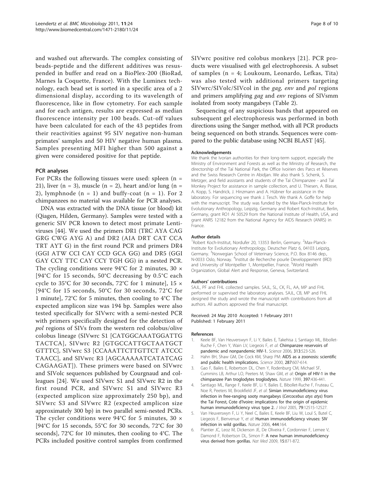<span id="page-8-0"></span>and washed out afterwards. The complex consisting of beads-peptide and the different additives was resuspended in buffer and read on a BioPlex-200 (BioRad, Marnes la Coquette, France). With the Luminex technology, each bead set is sorted in a specific area of a 2 dimensional display, according to its wavelength of fluorescence, like in flow cytometry. For each sample and for each antigen, results are expressed as median fluorescence intensity per 100 beads. Cut-off values have been calculated for each of the 43 peptides from their reactivities against 95 SIV negative non-human primates' samples and 50 HIV negative human plasma. Samples presenting MFI higher than 500 against a given were considered positive for that peptide.

#### PCR analyses

For PCRs the following tissues were used: spleen ( $n =$ 21), liver (n = 3), muscle (n = 2), heart and/or lung (n = 2), lymphnode  $(n = 1)$  and buffy-coat  $(n = 1)$ . For 2 chimpanzees no material was available for PCR analyses.

DNA was extracted with the DNA tissue (or blood) kit (Qiagen, Hilden, Germany). Samples were tested with a generic SIV PCR known to detect most primate Lentiviruses [\[44\]](#page-9-0). We used the primers DR1 (TRC AYA CAG GRG CWG AYG A) and DR2 (AIA DRT CAT CCA TRT AYT G) in the first round PCR and primers DR4 (GGI ATW CCI CAY CCD GCA GG) and DR5 (GGI GAY CCY TTC CAY CCY TGH GG) in a nested PCR. The cycling conditions were 94°C for 2 minutes, 30  $\times$ [94°C for 15 seconds, 50°C decreasing by 0.5°C each cycle to 35°C for 30 seconds, 72°C for 1 minute],  $15 \times$ [94°C for 15 seconds, 50°C for 30 seconds, 72°C for 1 minute], 72°C for 5 minutes, then cooling to 4°C The expected amplicon size was 194 bp. Samples were also tested specifically for SIVwrc with a semi-nested PCR with primers specifically designed for the detection of pol regions of SIVs from the western red colobus/olive colobus lineage (SIVwrc S1 [CATGGCAAATGGATTG TACTCA], SIVwrc R2 [GTGCCATTGCTAATGCT GTTTC], SIVwrc S3 [CCAAATTCTTGTTCT ATCCC TAACC], and SIVwrc R3 [AGCAAAAATCATATCAG CAGAAGAT]). These primers were based on SIVwrc and SIVolc sequences published by Courgnaud and colleagues [\[24](#page-9-0)]. We used SIVwrc S1 and SIVwrc R2 in the first round PCR, and SIVwrc S1 and SIVwrc R3 (expected amplicon size approximately 250 bp), and SIVwrc S3 and SIVwrc R2 (expected amplicon size approximately 300 bp) in two parallel semi-nested PCRs. The cycler conditions were 94°C for 5 minutes, 30  $\times$ [94°C for 15 seconds, 55°C for 30 seconds, 72°C for 30 seconds], 72°C for 10 minutes, then cooling to 4°C. The PCRs included positive control samples from confirmed

SIVwrc positive red colobus monkeys [[21\]](#page-9-0). PCR products were visualised with gel electrophoresis. A subset of samples (n = 4; Loukoum, Leonardo, Lefkas, Tita) was also tested with additional primers targeting SIVwrc/SIVolc/SIVcol in the gag, env and pol regions and primers amplifying gag and env regions of SIVsmm isolated from sooty mangabeys (Table [2\)](#page-7-0).

Sequencing of any suspicious bands that appeared on subsequent gel electrophoresis was performed in both directions using the Sanger method, with all PCR products being sequenced on both strands. Sequences were compared to the public database using NCBI BLAST [[45](#page-9-0)].

#### Acknowledgements

We thank the Ivorian authorities for their long-term support, especially the Ministry of Environment and Forests as well as the Ministry of Research, the directorship of the Taï National Park, the Office Ivoirien des Parcs et Réserves and the Swiss Research Centre in Abidjan. We also thank S. Schenk, S. Metzger, and field assistants and students of the Taї Chimpanzee - and Taï Monkey Project for assistance in sample collection, and U. Thiesen, A. Blasse, A. Kopp, S. Handrick, J. Hinzmann and A. Hübner for assistance in the laboratory. For sequencing we thank J. Tesch. We thank A. Goffe for help with the manuscript. The study was funded by the Max-Planck-Institute for Evolutionary Anthropology, Leipzig, Germany and Robert Koch-Institut, Berlin, Germany, grant RO1 AI 50529 from the National Institute of Health, USA, and grant ANRS 12182 from the National Agency for AIDS Research (ANRS) in France.

#### Author details

<sup>1</sup>Robert Koch-Institut, Nordufer 20, 13353 Berlin, Germany. <sup>2</sup>Max-Planck-Institute for Evolutionary Anthropology, Deutscher Platz 6, 04103 Leipzig, Germany. <sup>3</sup>Norwegian School of Veterinary Science, P.O. Box 8146 dep. N-0033 Oslo, Norway. <sup>4</sup>Institut de Recherche pourle Developpement (IRD) and University of Montpellier 1, Montpellier, France. <sup>5</sup>World Health Organization, Global Alert and Response, Geneva, Switzerland.

#### Authors' contributions

SAJL, PF and FHL collected samples. SAJL, SL, CK, FL, AA, MP and FHL performed or supervised the laboratory analyses. SAJL, CB, MP and FHL designed the study and wrote the manuscript with contributions from all authors. All authors approved the final manuscript.

#### Received: 24 May 2010 Accepted: 1 February 2011 Published: 1 February 2011

#### References

- 1. Keele BF, Van Heuverswyn F, Li Y, Bailes E, Takehisa J, Santiago ML, Bibollet-Ruche F, Chen Y, Wain LV, Liegeois F, et al: [Chimpanzee reservoirs of](http://www.ncbi.nlm.nih.gov/pubmed/16728595?dopt=Abstract) [pandemic and nonpandemic HIV-1.](http://www.ncbi.nlm.nih.gov/pubmed/16728595?dopt=Abstract) Science 2006, 313:523-526.
- 2. Hahn BH, Shaw GM, De Cock KM, Sharp PM: [AIDS as a zoonosis: scientific](http://www.ncbi.nlm.nih.gov/pubmed/10649986?dopt=Abstract) [and public health implications.](http://www.ncbi.nlm.nih.gov/pubmed/10649986?dopt=Abstract) Science 2000, 287:607-614.
- 3. Gao F, Bailes E, Robertson DL, Chen Y, Rodenburg CM, Michael SF Cummins LB, Arthur LO, Peeters M, Shaw GM, et al: [Origin of HIV-1 in the](http://www.ncbi.nlm.nih.gov/pubmed/9989410?dopt=Abstract) [chimpanzee Pan troglodytes troglodytes.](http://www.ncbi.nlm.nih.gov/pubmed/9989410?dopt=Abstract) Nature 1999, 397:436-441.
- 4. Santiago ML, Range F, Keele BF, Li Y, Bailes E, Bibollet-Ruche F, Fruteau C, Noe R, Peeters M, Brookfield JF, et al: [Simian immunodeficiency virus](http://www.ncbi.nlm.nih.gov/pubmed/16160179?dopt=Abstract) [infection in free-ranging sooty mangabeys \(](http://www.ncbi.nlm.nih.gov/pubmed/16160179?dopt=Abstract)Cercocebus atys atys) from the Tai Forest, Cote d'[Ivoire: implications for the origin of epidemic](http://www.ncbi.nlm.nih.gov/pubmed/16160179?dopt=Abstract) [human immunodeficiency virus type 2.](http://www.ncbi.nlm.nih.gov/pubmed/16160179?dopt=Abstract) J Virol 2005, 79:12515-12527.
- 5. Van Heuverswyn F, Li Y, Neel C, Bailes E, Keele BF, Liu W, Loul S, Butel C, Liegeois F, Bienvenue Y, et al: [Human immunodeficiency viruses: SIV](http://www.ncbi.nlm.nih.gov/pubmed/17093443?dopt=Abstract) [infection in wild gorillas.](http://www.ncbi.nlm.nih.gov/pubmed/17093443?dopt=Abstract) Nature 2006, 444:164.
- 6. Plantier JC, Leoz M, Dickerson JE, De Oliveira F, Cordonnier F, Lemee V, Damond F, Robertson DL, Simon F: [A new human immunodeficiency](http://www.ncbi.nlm.nih.gov/pubmed/19648927?dopt=Abstract) [virus derived from gorillas.](http://www.ncbi.nlm.nih.gov/pubmed/19648927?dopt=Abstract) Nat Med 2009, 15:871-872.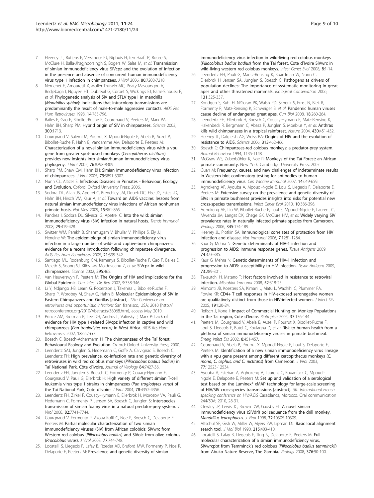- <span id="page-9-0"></span>7. Heeney JL, Rutjens E, Verschoor EJ, Niphuis H, ten Haaft P, Rouse S, McClure H, Balla-Jhagjhoorsingh S, Bogers W, Salas M, et al: [Transmission](http://www.ncbi.nlm.nih.gov/pubmed/16809326?dopt=Abstract) [of simian immunodeficiency virus SIVcpz and the evolution of infection](http://www.ncbi.nlm.nih.gov/pubmed/16809326?dopt=Abstract) [in the presence and absence of concurrent human immunodeficiency](http://www.ncbi.nlm.nih.gov/pubmed/16809326?dopt=Abstract) [virus type 1 infection in chimpanzees.](http://www.ncbi.nlm.nih.gov/pubmed/16809326?dopt=Abstract) J Virol 2006, 80:7208-7218.
- 8. Nerrienet E, Amouretti X, Muller-Trutwin MC, Poaty-Mavoungou V, Bedjebaga I, Nguyen HT, Dubreuil G, Corbet S, Wickings EJ, Barre-Sinoussi F, et al: [Phylogenetic analysis of SIV and STLV type I in mandrills](http://www.ncbi.nlm.nih.gov/pubmed/9643378?dopt=Abstract) (Mandrillus sphinx[\): indications that intracolony transmissions are](http://www.ncbi.nlm.nih.gov/pubmed/9643378?dopt=Abstract) [predominantly the result of male-to-male aggressive contacts.](http://www.ncbi.nlm.nih.gov/pubmed/9643378?dopt=Abstract) AIDS Res Hum Retroviruses 1998, 14:785-796.
- Bailes E, Gao F, Bibollet-Ruche F, Courgnaud V, Peeters M, Marx PA, Hahn BH, Sharp PM: [Hybrid origin of SIV in chimpanzees.](http://www.ncbi.nlm.nih.gov/pubmed/12805540?dopt=Abstract) Science 2003, 300:1713.
- 10. Courgnaud V, Salemi M, Pourrut X, Mpoudi-Ngole E, Abela B, Auzel P, Bibollet-Ruche F, Hahn B, Vandamme AM, Delaporte E, Peeters M: [Characterization of a novel simian immunodeficiency virus with a vpu](http://www.ncbi.nlm.nih.gov/pubmed/12134035?dopt=Abstract) [gene from greater spot-nosed monkeys \(](http://www.ncbi.nlm.nih.gov/pubmed/12134035?dopt=Abstract)Cercopithecus nictitans) [provides new insights into simian/human immunodeficiency virus](http://www.ncbi.nlm.nih.gov/pubmed/12134035?dopt=Abstract) [phylogeny.](http://www.ncbi.nlm.nih.gov/pubmed/12134035?dopt=Abstract) J Virol 2002, 76:8298-8309.
- 11. Sharp PM, Shaw GM, Hahn BH: [Simian immunodeficiency virus infection](http://www.ncbi.nlm.nih.gov/pubmed/15767392?dopt=Abstract) [of chimpanzees.](http://www.ncbi.nlm.nih.gov/pubmed/15767392?dopt=Abstract) J Virol 2005, 79:3891-3902.
- 12. Nunn CL, Altizer S: Infectious Diseases in Primates Behaviour, Ecology and Evolution. Oxford: Oxford University Press; 2006.
- 13. Sodora DL, Allan JS, Apetrei C, Brenchley JM, Douek DC, Else JG, Estes JD, Hahn BH, Hirsch VM, Kaur A, et al: [Toward an AIDS vaccine: lessons from](http://www.ncbi.nlm.nih.gov/pubmed/19661993?dopt=Abstract) [natural simian immunodeficiency virus infections of African nonhuman](http://www.ncbi.nlm.nih.gov/pubmed/19661993?dopt=Abstract) [primate hosts.](http://www.ncbi.nlm.nih.gov/pubmed/19661993?dopt=Abstract) Nat Med 2009, 15:861-865.
- 14. Pandrea I, Sodora DL, Silvestri G, Apetrei C: [Into the wild: simian](http://www.ncbi.nlm.nih.gov/pubmed/18676179?dopt=Abstract) [immunodeficiency virus \(SIV\) infection in natural hosts.](http://www.ncbi.nlm.nih.gov/pubmed/18676179?dopt=Abstract) Trends Immunol 2008, 29:419-428.
- 15. Switzer WM, Parekh B, Shanmugam V, Bhullar V, Phillips S, Ely JJ, Heneine W: [The epidemiology of simian immunodeficiency virus](http://www.ncbi.nlm.nih.gov/pubmed/15929695?dopt=Abstract) [infection in a large number of wild- and captive-born chimpanzees:](http://www.ncbi.nlm.nih.gov/pubmed/15929695?dopt=Abstract) [evidence for a recent introduction following chimpanzee divergence.](http://www.ncbi.nlm.nih.gov/pubmed/15929695?dopt=Abstract) AIDS Res Hum Retroviruses 2005, 21:335-342.
- 16. Santiago ML, Rodenburg CM, Kamenya S, Bibollet-Ruche F, Gao F, Bailes E, Meleth S, Soong SJ, Kilby JM, Moldoveanu Z, et al: [SIVcpz in wild](http://www.ncbi.nlm.nih.gov/pubmed/11799233?dopt=Abstract) [chimpanzees.](http://www.ncbi.nlm.nih.gov/pubmed/11799233?dopt=Abstract) Science 2002, 295:465.
- 17. Van Heuverswyn F, Peeters M: [The Origins of HIV and Implications for the](http://www.ncbi.nlm.nih.gov/pubmed/17618555?dopt=Abstract) [Global Epidemic.](http://www.ncbi.nlm.nih.gov/pubmed/17618555?dopt=Abstract) Curr Infect Dis Rep 2007, 9:338-346.
- 18. Li Y, Ndjango J-B, Learn G, Robertson J, Takehisa J, Bibollet-Ruche F Sharp P, Worobey M, Shaw G, Hahn B: Molecular Epidemiology of SIV in Eastern Chimpanzees and Gorillas [abstract]. 17th Conference on retroviruses and opportunistic infections San fransisco, USA; 2010 [\[http://](http://retroconference.org/2010/Abstracts/38068.htm) [retroconference.org/2010/Abstracts/38068.htm](http://retroconference.org/2010/Abstracts/38068.htm)], access May 2010.
- 19. Prince AM, Brotman B, Lee DH, Andrus L, Valinsky J, Marx P: [Lack of](http://www.ncbi.nlm.nih.gov/pubmed/12079561?dopt=Abstract) evidence [for HIV type 1-related SIVcpz infection in captive and wild](http://www.ncbi.nlm.nih.gov/pubmed/12079561?dopt=Abstract) chimpanzees ([Pan troglodytes verus\)](http://www.ncbi.nlm.nih.gov/pubmed/12079561?dopt=Abstract) in West Africa. AIDS Res Hum Retroviruses 2002, 18:657-660.
- 20. Boesch C, Boesch-Achermann H: The chimpanzees of the Taï forest: Behavioural Ecology and Evolution. Oxford: Oxford University Press; 2000.
- 21. Leendertz SAJ, Junglen S, Hedemann C, Goffe A, Calvignac S, Boesch C, Leendertz FH: [High prevalence, co-infection rate and genetic diversity of](http://www.ncbi.nlm.nih.gov/pubmed/20484508?dopt=Abstract) [retroviruses in wild red colobus monkeys \(](http://www.ncbi.nlm.nih.gov/pubmed/20484508?dopt=Abstract)Piliocolobus badius badius) in [Taï National Park, Côte d](http://www.ncbi.nlm.nih.gov/pubmed/20484508?dopt=Abstract)'Ivoire. Journal of Virology 84:7427-36.
- 22. Leendertz FH, Junglen S, Boesch C, Formenty P, Couacy-Hymann E, Courgnaud V, Pauli G, Ellerbrok H: [High variety of different simian T-cell](http://www.ncbi.nlm.nih.gov/pubmed/15047848?dopt=Abstract) [leukemia virus type 1 strains in chimpanzees \(](http://www.ncbi.nlm.nih.gov/pubmed/15047848?dopt=Abstract)Pan troglodytes verus) of [the Tai National Park, Cote d](http://www.ncbi.nlm.nih.gov/pubmed/15047848?dopt=Abstract)'Ivoire. J Virol 2004, 78:4352-4356.
- 23. Leendertz FH, Zirkel F, Couacy-Hymann E, Ellerbrok H, Morozov VA, Pauli G, Hedemann C, Formenty P, Jensen SA, Boesch C, Junglen S: [Interspecies](http://www.ncbi.nlm.nih.gov/pubmed/18508895?dopt=Abstract) [transmission of simian foamy virus in a natural predator-prey system.](http://www.ncbi.nlm.nih.gov/pubmed/18508895?dopt=Abstract) J Virol 2008, 82:7741-7744.
- 24. Courgnaud V, Formenty P, Akoua-Koffi C, Noe R, Boesch C, Delaporte E, Peeters M: [Partial molecular characterization of two simian](http://www.ncbi.nlm.nih.gov/pubmed/12477880?dopt=Abstract) [immunodeficiency viruses \(SIV\) from African colobids: SIVwrc from](http://www.ncbi.nlm.nih.gov/pubmed/12477880?dopt=Abstract) Western red colobus (Piliocolobus badius[\) and SIVolc from olive colobus](http://www.ncbi.nlm.nih.gov/pubmed/12477880?dopt=Abstract) ([Procolobus verus](http://www.ncbi.nlm.nih.gov/pubmed/12477880?dopt=Abstract)). J Virol 2003, 77:744-748.
- 25. Locatelli S, Liegeois F, Lafay B, Roeder AD, Bruford MW, Formenty P, Noe R, Delaporte E, Peeters M: [Prevalence and genetic diversity of simian](http://www.ncbi.nlm.nih.gov/pubmed/17916449?dopt=Abstract)

[immunodeficiency virus infection in wild-living red colobus monkeys](http://www.ncbi.nlm.nih.gov/pubmed/17916449?dopt=Abstract) (Piliocolobus badius badius[\) from the Tai forest, Cote d](http://www.ncbi.nlm.nih.gov/pubmed/17916449?dopt=Abstract)'Ivoire SIVwrc in [wild-living western red colobus monkeys.](http://www.ncbi.nlm.nih.gov/pubmed/17916449?dopt=Abstract) Infect Genet Evol 2008, 8:1-14.

- 26. Leendertz FH, Pauli G, Maetz-Rensing K, Boardman W, Nunn C, Ellerbrok H, Jensen SA, Junglen S, Boesch C: Pathogens as drivers of population declines: The importance of systematic monitoring in great apes and other threatened mammals. Biological Conservation 2006, 131:325-337.
- 27. Kondgen S, Kuhl H, N'Goran PK, Walsh PD, Schenk S, Ernst N, Biek R, Formenty P, Matz-Rensing K, Schweiger B, et al: [Pandemic human viruses](http://www.ncbi.nlm.nih.gov/pubmed/18222690?dopt=Abstract) [cause decline of endangered great apes.](http://www.ncbi.nlm.nih.gov/pubmed/18222690?dopt=Abstract) Curr Biol 2008, 18:260-264.
- 28. Leendertz FH, Ellerbrok H, Boesch C, Couacy-Hymann E, Matz-Rensing K, Hakenbeck R, Bergmann C, Abaza P, Junglen S, Moebius Y, et al: [Anthrax](http://www.ncbi.nlm.nih.gov/pubmed/15269768?dopt=Abstract) kills [wild chimpanzees in a tropical rainforest.](http://www.ncbi.nlm.nih.gov/pubmed/15269768?dopt=Abstract) Nature 2004, 430:451-452.
- 29. Heeney JL, Dalgleish AG, Weiss RA: [Origins of HIV and the evolution of](http://www.ncbi.nlm.nih.gov/pubmed/16873637?dopt=Abstract) [resistance to AIDS.](http://www.ncbi.nlm.nih.gov/pubmed/16873637?dopt=Abstract) Science 2006, 313:462-466.
- 30. Boesch C: Chimpanzees-red colobus monkeys: a predator-prey system. Animal Behaviour 1994, 1135-1148.
- 31. McGraw WS, Zuberbühler K, Noe R: Monkeys of the Taï Forest: an African primate community. New York: Cambridge University Press; 2007.
- 32. Guan M: [Frequency, causes, and new challenges of indeterminate results](http://www.ncbi.nlm.nih.gov/pubmed/17409223?dopt=Abstract) [in Western blot confirmatory testing for antibodies to human](http://www.ncbi.nlm.nih.gov/pubmed/17409223?dopt=Abstract) [immunodeficiency virus.](http://www.ncbi.nlm.nih.gov/pubmed/17409223?dopt=Abstract) Clin Vaccine Immunol 2007, 14:649-659.
- 33. Aghokeng AF, Ayouba A, Mpoudi-Ngole E, Loul S, Liegeois F, Delaporte E, Peeters M: [Extensive survey on the prevalence and genetic diversity of](http://www.ncbi.nlm.nih.gov/pubmed/19393772?dopt=Abstract) [SIVs in primate bushmeat provides insights into risks for potential new](http://www.ncbi.nlm.nih.gov/pubmed/19393772?dopt=Abstract) [cross-species transmissions.](http://www.ncbi.nlm.nih.gov/pubmed/19393772?dopt=Abstract) Infect Genet Evol 2010, 10:386-396.
- 34. Aghokeng AF, Liu W, Bibollet-Ruche F, Loul S, Mpoudi-Ngole E, Laurent C, Mwenda JM, Langat DK, Chege GK, McClure HM, et al: [Widely varying SIV](http://www.ncbi.nlm.nih.gov/pubmed/16257029?dopt=Abstract) [prevalence rates in naturally infected primate species from Cameroon.](http://www.ncbi.nlm.nih.gov/pubmed/16257029?dopt=Abstract) Virology 2006, 345:174-189.
- 35. Heeney JL, Plotkin SA: [Immunological correlates of protection from HIV](http://www.ncbi.nlm.nih.gov/pubmed/17110946?dopt=Abstract) [infection and disease.](http://www.ncbi.nlm.nih.gov/pubmed/17110946?dopt=Abstract) Nat Immunol 2006, 7:1281-1284.
- 36. Kaur G, Mehra N: [Genetic determinants of HIV-1 infection and](http://www.ncbi.nlm.nih.gov/pubmed/19765261?dopt=Abstract) [progression to AIDS: immune response genes.](http://www.ncbi.nlm.nih.gov/pubmed/19765261?dopt=Abstract) Tissue Antigens 2009, 74:373-385.
- 37. Kaur G, Mehra N: [Genetic determinants of HIV-1 infection and](http://www.ncbi.nlm.nih.gov/pubmed/19317737?dopt=Abstract) [progression to AIDS: susceptibility to HIV infection.](http://www.ncbi.nlm.nih.gov/pubmed/19317737?dopt=Abstract) Tissue Antigens 2009, 73:289-301.
- 38. Takeutchi H, Matano T: [Host factors involved in resistance to retroviral](http://www.ncbi.nlm.nih.gov/pubmed/18577167?dopt=Abstract) [infection.](http://www.ncbi.nlm.nih.gov/pubmed/18577167?dopt=Abstract) Microbiol Immunol 2008, 52:318-25.
- Alimonti JB, Koesters SA, Kimani J, Matu L, Wachihi C, Plummer FA, Fowke KR: [CD4+ T cell responses in HIV-exposed seronegative women](http://www.ncbi.nlm.nih.gov/pubmed/15592998?dopt=Abstract) [are qualitatively distinct from those in HIV-infected women.](http://www.ncbi.nlm.nih.gov/pubmed/15592998?dopt=Abstract) J Infect Dis 2005, 191:20-24.
- 40. Refisch J, Kone I: Impact of Commercial Hunting on Monkey Populations in the Tai region, Cote d'Ivoire. Biotropica 2005, 37:136-144.
- 41. Peeters M, Courgnaud V, Abela B, Auzel P, Pourrut X, Bibollet-Ruche F, Loul S, Liegeois F, Butel C, Koulagna D, et al: [Risk to human health from a](http://www.ncbi.nlm.nih.gov/pubmed/11996677?dopt=Abstract) [plethora of simian immunodeficiency viruses in primate bushmeat.](http://www.ncbi.nlm.nih.gov/pubmed/11996677?dopt=Abstract) Emerg Infect Dis 2002, 8:451-457.
- 42. Courgnaud V, Abela B, Pourrut X, Mpoudi-Ngole E, Loul S, Delaporte E, Peeters M: [Identification of a new simian immunodeficiency virus lineage](http://www.ncbi.nlm.nih.gov/pubmed/14610175?dopt=Abstract) [with a vpu gene present among different cercopithecus monkeys \(](http://www.ncbi.nlm.nih.gov/pubmed/14610175?dopt=Abstract)C. [mona, C. cephus, and C. nictitans](http://www.ncbi.nlm.nih.gov/pubmed/14610175?dopt=Abstract)) from Cameroon. J Virol 2003, 77:12523-12534.
- 43. Ayouba A, Esteban A, Aghokeng A, Laurent C, Kouanfack C, Mpoudi-Ngole E, Delaporte E, Peeters M: Set up and validation of a serological test based on the Luminex® xMAP technology for large-scale screening of HIV/SIV cross-species transmissions [abstract]. 5th International French speaking conference on HIV/AIDS Casablanca, Morocco. Oral communication 244/50A; 2010, 28-31.
- 44. Clewley JP, Lewis JC, Brown DW, Gadsby EL: [A novel simian](http://www.ncbi.nlm.nih.gov/pubmed/9811781?dopt=Abstract) [immunodeficiency virus \(SIVdrl\) pol sequence from the drill monkey,](http://www.ncbi.nlm.nih.gov/pubmed/9811781?dopt=Abstract) [Mandrillus leucophaeus](http://www.ncbi.nlm.nih.gov/pubmed/9811781?dopt=Abstract). J Virol 1998, 72:10305-10309.
- 45. Altschul SF, Gish W, Miller W, Myers EW, Lipman DJ: [Basic local alignment](http://www.ncbi.nlm.nih.gov/pubmed/2231712?dopt=Abstract) [search tool.](http://www.ncbi.nlm.nih.gov/pubmed/2231712?dopt=Abstract) *J Mol Biol* 1990, 215:403-410.
- 46. Locatelli S, Lafay B, Liegeois F, Ting N, Delaporte E, Peeters M: [Full](http://www.ncbi.nlm.nih.gov/pubmed/18442839?dopt=Abstract) [molecular characterization of a simian immunodeficiency virus,](http://www.ncbi.nlm.nih.gov/pubmed/18442839?dopt=Abstract) SIVwrcpbt from Temminck's red colobus ([Piliocolobus badius temminckii](http://www.ncbi.nlm.nih.gov/pubmed/18442839?dopt=Abstract)) [from Abuko Nature Reserve, The Gambia.](http://www.ncbi.nlm.nih.gov/pubmed/18442839?dopt=Abstract) Virology 2008, 376:90-100.